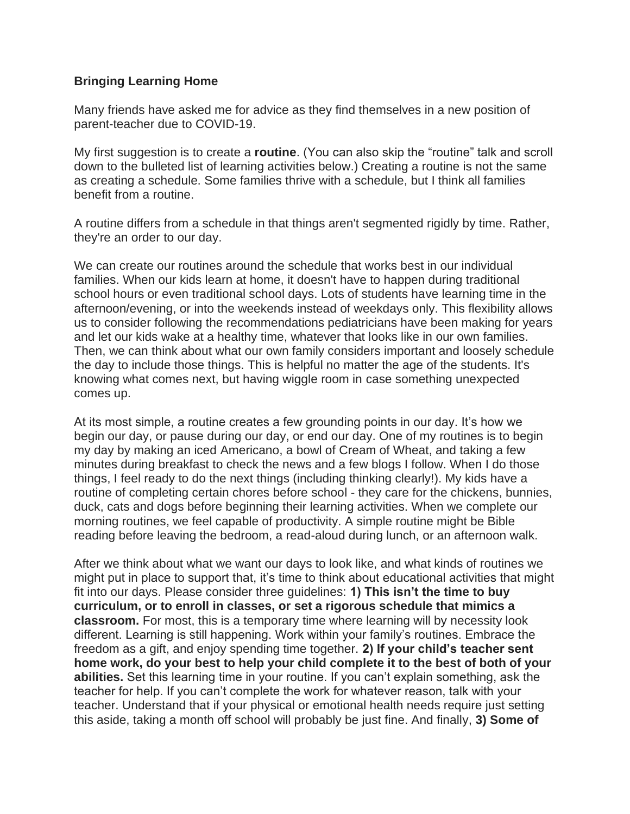## **Bringing Learning Home**

Many friends have asked me for advice as they find themselves in a new position of parent-teacher due to COVID-19.

My first suggestion is to create a **routine**. (You can also skip the "routine" talk and scroll down to the bulleted list of learning activities below.) Creating a routine is not the same as creating a schedule. Some families thrive with a schedule, but I think all families benefit from a routine.

A routine differs from a schedule in that things aren't segmented rigidly by time. Rather, they're an order to our day.

We can create our routines around the schedule that works best in our individual families. When our kids learn at home, it doesn't have to happen during traditional school hours or even traditional school days. Lots of students have learning time in the afternoon/evening, or into the weekends instead of weekdays only. This flexibility allows us to consider following the recommendations pediatricians have been making for years and let our kids wake at a healthy time, whatever that looks like in our own families. Then, we can think about what our own family considers important and loosely schedule the day to include those things. This is helpful no matter the age of the students. It's knowing what comes next, but having wiggle room in case something unexpected comes up.

At its most simple, a routine creates a few grounding points in our day. It's how we begin our day, or pause during our day, or end our day. One of my routines is to begin my day by making an iced Americano, a bowl of Cream of Wheat, and taking a few minutes during breakfast to check the news and a few blogs I follow. When I do those things, I feel ready to do the next things (including thinking clearly!). My kids have a routine of completing certain chores before school - they care for the chickens, bunnies, duck, cats and dogs before beginning their learning activities. When we complete our morning routines, we feel capable of productivity. A simple routine might be Bible reading before leaving the bedroom, a read-aloud during lunch, or an afternoon walk.

After we think about what we want our days to look like, and what kinds of routines we might put in place to support that, it's time to think about educational activities that might fit into our days. Please consider three guidelines: **1) This isn't the time to buy curriculum, or to enroll in classes, or set a rigorous schedule that mimics a classroom.** For most, this is a temporary time where learning will by necessity look different. Learning is still happening. Work within your family's routines. Embrace the freedom as a gift, and enjoy spending time together. **2) If your child's teacher sent home work, do your best to help your child complete it to the best of both of your abilities.** Set this learning time in your routine. If you can't explain something, ask the teacher for help. If you can't complete the work for whatever reason, talk with your teacher. Understand that if your physical or emotional health needs require just setting this aside, taking a month off school will probably be just fine. And finally, **3) Some of**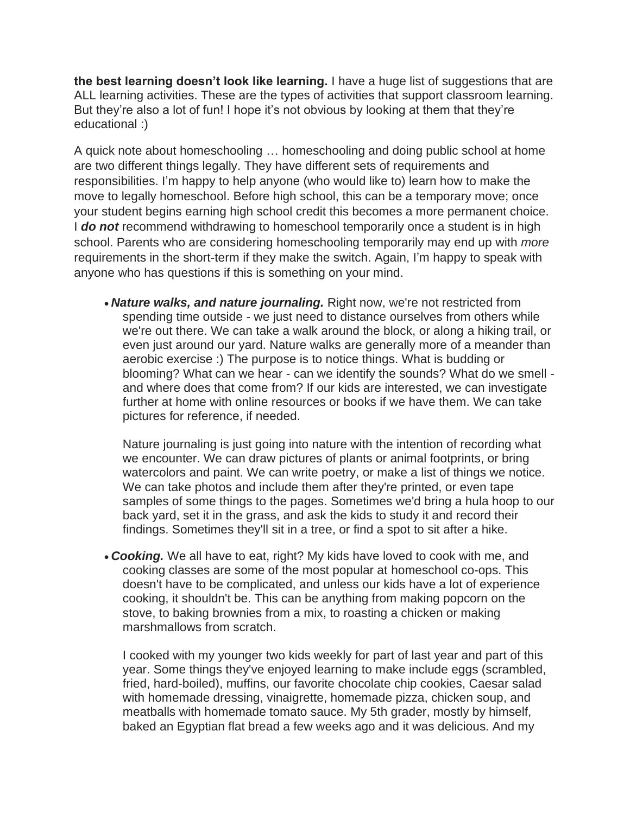**the best learning doesn't look like learning.** I have a huge list of suggestions that are ALL learning activities. These are the types of activities that support classroom learning. But they're also a lot of fun! I hope it's not obvious by looking at them that they're educational :)

A quick note about homeschooling … homeschooling and doing public school at home are two different things legally. They have different sets of requirements and responsibilities. I'm happy to help anyone (who would like to) learn how to make the move to legally homeschool. Before high school, this can be a temporary move; once your student begins earning high school credit this becomes a more permanent choice. I *do not* recommend withdrawing to homeschool temporarily once a student is in high school. Parents who are considering homeschooling temporarily may end up with *more* requirements in the short-term if they make the switch. Again, I'm happy to speak with anyone who has questions if this is something on your mind.

• *Nature walks, and nature journaling.* Right now, we're not restricted from spending time outside - we just need to distance ourselves from others while we're out there. We can take a walk around the block, or along a hiking trail, or even just around our yard. Nature walks are generally more of a meander than aerobic exercise :) The purpose is to notice things. What is budding or blooming? What can we hear - can we identify the sounds? What do we smell and where does that come from? If our kids are interested, we can investigate further at home with online resources or books if we have them. We can take pictures for reference, if needed.

Nature journaling is just going into nature with the intention of recording what we encounter. We can draw pictures of plants or animal footprints, or bring watercolors and paint. We can write poetry, or make a list of things we notice. We can take photos and include them after they're printed, or even tape samples of some things to the pages. Sometimes we'd bring a hula hoop to our back yard, set it in the grass, and ask the kids to study it and record their findings. Sometimes they'll sit in a tree, or find a spot to sit after a hike.

• *Cooking.* We all have to eat, right? My kids have loved to cook with me, and cooking classes are some of the most popular at homeschool co-ops. This doesn't have to be complicated, and unless our kids have a lot of experience cooking, it shouldn't be. This can be anything from making popcorn on the stove, to baking brownies from a mix, to roasting a chicken or making marshmallows from scratch.

I cooked with my younger two kids weekly for part of last year and part of this year. Some things they've enjoyed learning to make include eggs (scrambled, fried, hard-boiled), muffins, our favorite chocolate chip cookies, Caesar salad with homemade dressing, vinaigrette, homemade pizza, chicken soup, and meatballs with homemade tomato sauce. My 5th grader, mostly by himself, baked an Egyptian flat bread a few weeks ago and it was delicious. And my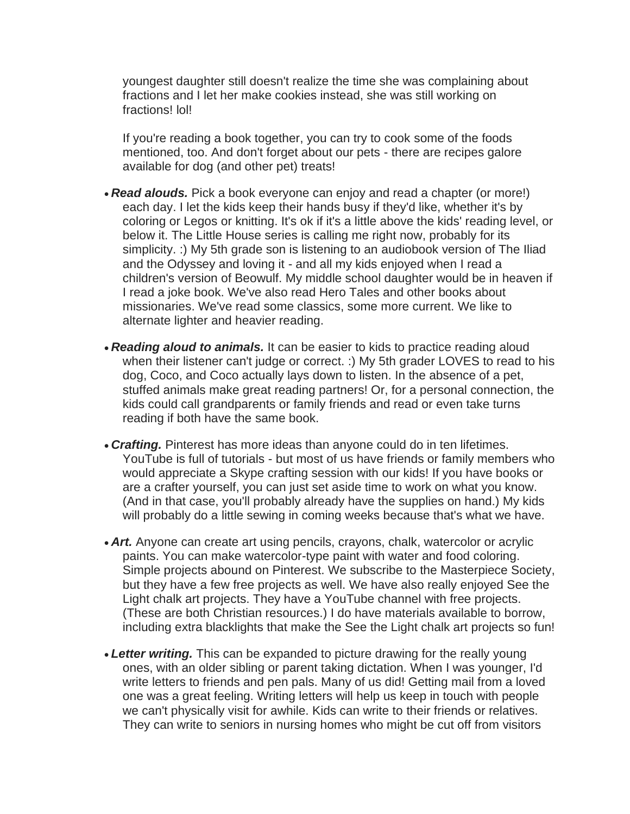youngest daughter still doesn't realize the time she was complaining about fractions and I let her make cookies instead, she was still working on fractions! lol!

If you're reading a book together, you can try to cook some of the foods mentioned, too. And don't forget about our pets - there are recipes galore available for dog (and other pet) treats!

- *Read alouds.* Pick a book everyone can enjoy and read a chapter (or more!) each day. I let the kids keep their hands busy if they'd like, whether it's by coloring or Legos or knitting. It's ok if it's a little above the kids' reading level, or below it. The Little House series is calling me right now, probably for its simplicity. :) My 5th grade son is listening to an audiobook version of The Iliad and the Odyssey and loving it - and all my kids enjoyed when I read a children's version of Beowulf. My middle school daughter would be in heaven if I read a joke book. We've also read Hero Tales and other books about missionaries. We've read some classics, some more current. We like to alternate lighter and heavier reading.
- *Reading aloud to animals.* It can be easier to kids to practice reading aloud when their listener can't judge or correct. :) My 5th grader LOVES to read to his dog, Coco, and Coco actually lays down to listen. In the absence of a pet, stuffed animals make great reading partners! Or, for a personal connection, the kids could call grandparents or family friends and read or even take turns reading if both have the same book.
- *Crafting.* Pinterest has more ideas than anyone could do in ten lifetimes. YouTube is full of tutorials - but most of us have friends or family members who would appreciate a Skype crafting session with our kids! If you have books or are a crafter yourself, you can just set aside time to work on what you know. (And in that case, you'll probably already have the supplies on hand.) My kids will probably do a little sewing in coming weeks because that's what we have.
- **Art.** Anyone can create art using pencils, crayons, chalk, watercolor or acrylic paints. You can make watercolor-type paint with water and food coloring. Simple projects abound on Pinterest. We subscribe to the Masterpiece Society, but they have a few free projects as well. We have also really enjoyed See the Light chalk art projects. They have a YouTube channel with free projects. (These are both Christian resources.) I do have materials available to borrow, including extra blacklights that make the See the Light chalk art projects so fun!
- *Letter writing.* This can be expanded to picture drawing for the really young ones, with an older sibling or parent taking dictation. When I was younger, I'd write letters to friends and pen pals. Many of us did! Getting mail from a loved one was a great feeling. Writing letters will help us keep in touch with people we can't physically visit for awhile. Kids can write to their friends or relatives. They can write to seniors in nursing homes who might be cut off from visitors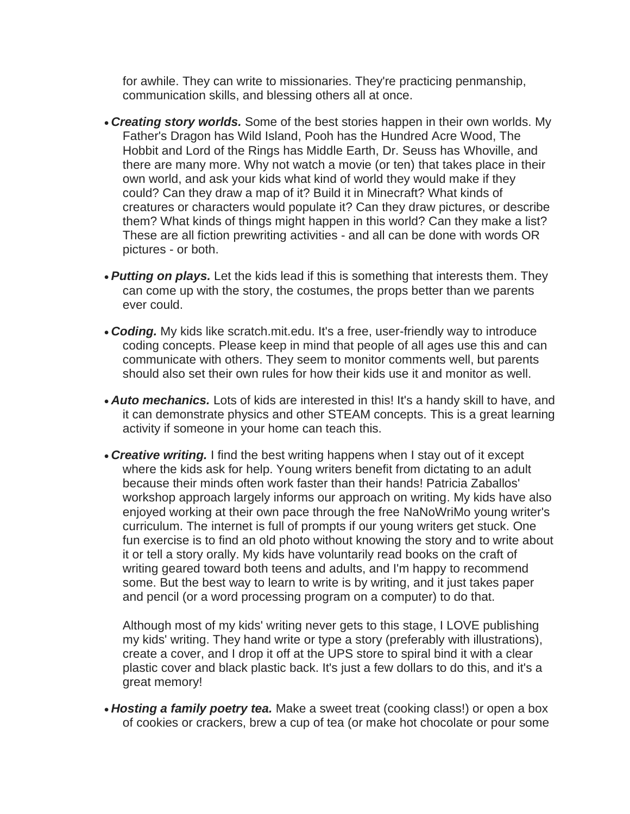for awhile. They can write to missionaries. They're practicing penmanship, communication skills, and blessing others all at once.

- *Creating story worlds.* Some of the best stories happen in their own worlds. My Father's Dragon has Wild Island, Pooh has the Hundred Acre Wood, The Hobbit and Lord of the Rings has Middle Earth, Dr. Seuss has Whoville, and there are many more. Why not watch a movie (or ten) that takes place in their own world, and ask your kids what kind of world they would make if they could? Can they draw a map of it? Build it in Minecraft? What kinds of creatures or characters would populate it? Can they draw pictures, or describe them? What kinds of things might happen in this world? Can they make a list? These are all fiction prewriting activities - and all can be done with words OR pictures - or both.
- *Putting on plays.* Let the kids lead if this is something that interests them. They can come up with the story, the costumes, the props better than we parents ever could.
- *Coding.* My kids like scratch.mit.edu. It's a free, user-friendly way to introduce coding concepts. Please keep in mind that people of all ages use this and can communicate with others. They seem to monitor comments well, but parents should also set their own rules for how their kids use it and monitor as well.
- *Auto mechanics.* Lots of kids are interested in this! It's a handy skill to have, and it can demonstrate physics and other STEAM concepts. This is a great learning activity if someone in your home can teach this.
- *Creative writing.* I find the best writing happens when I stay out of it except where the kids ask for help. Young writers benefit from dictating to an adult because their minds often work faster than their hands! Patricia Zaballos' workshop approach largely informs our approach on writing. My kids have also enjoyed working at their own pace through the free NaNoWriMo young writer's curriculum. The internet is full of prompts if our young writers get stuck. One fun exercise is to find an old photo without knowing the story and to write about it or tell a story orally. My kids have voluntarily read books on the craft of writing geared toward both teens and adults, and I'm happy to recommend some. But the best way to learn to write is by writing, and it just takes paper and pencil (or a word processing program on a computer) to do that.

Although most of my kids' writing never gets to this stage, I LOVE publishing my kids' writing. They hand write or type a story (preferably with illustrations), create a cover, and I drop it off at the UPS store to spiral bind it with a clear plastic cover and black plastic back. It's just a few dollars to do this, and it's a great memory!

• *Hosting a family poetry tea.* Make a sweet treat (cooking class!) or open a box of cookies or crackers, brew a cup of tea (or make hot chocolate or pour some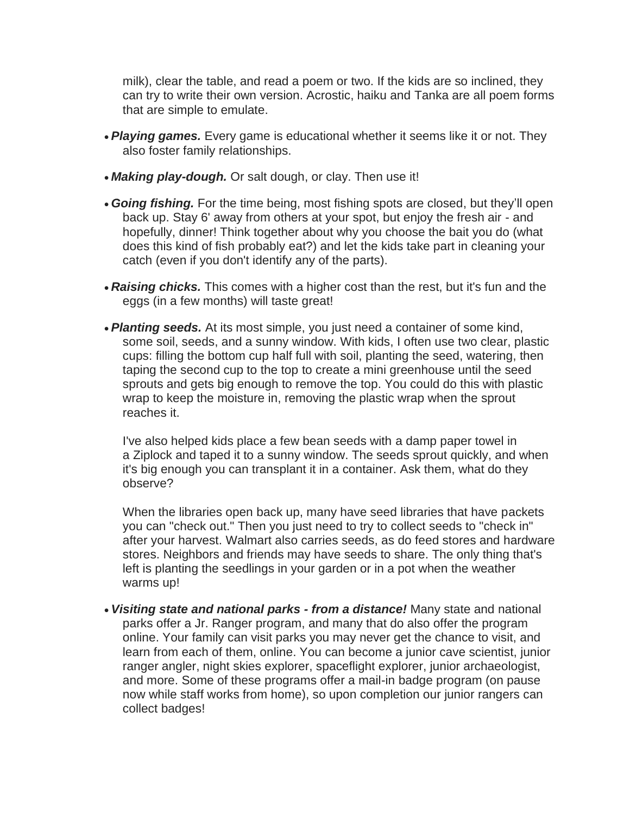milk), clear the table, and read a poem or two. If the kids are so inclined, they can try to write their own version. Acrostic, haiku and Tanka are all poem forms that are simple to emulate.

- *Playing games.* Every game is educational whether it seems like it or not. They also foster family relationships.
- **Making play-dough.** Or salt dough, or clay. Then use it!
- *Going fishing.* For the time being, most fishing spots are closed, but they'll open back up. Stay 6' away from others at your spot, but enjoy the fresh air - and hopefully, dinner! Think together about why you choose the bait you do (what does this kind of fish probably eat?) and let the kids take part in cleaning your catch (even if you don't identify any of the parts).
- *Raising chicks.* This comes with a higher cost than the rest, but it's fun and the eggs (in a few months) will taste great!
- *Planting seeds.* At its most simple, you just need a container of some kind, some soil, seeds, and a sunny window. With kids, I often use two clear, plastic cups: filling the bottom cup half full with soil, planting the seed, watering, then taping the second cup to the top to create a mini greenhouse until the seed sprouts and gets big enough to remove the top. You could do this with plastic wrap to keep the moisture in, removing the plastic wrap when the sprout reaches it.

I've also helped kids place a few bean seeds with a damp paper towel in a Ziplock and taped it to a sunny window. The seeds sprout quickly, and when it's big enough you can transplant it in a container. Ask them, what do they observe?

When the libraries open back up, many have seed libraries that have packets you can "check out." Then you just need to try to collect seeds to "check in" after your harvest. Walmart also carries seeds, as do feed stores and hardware stores. Neighbors and friends may have seeds to share. The only thing that's left is planting the seedlings in your garden or in a pot when the weather warms up!

• *Visiting state and national parks - from a distance!* Many state and national parks offer a Jr. Ranger program, and many that do also offer the program online. Your family can visit parks you may never get the chance to visit, and learn from each of them, online. You can become a junior cave scientist, junior ranger angler, night skies explorer, spaceflight explorer, junior archaeologist, and more. Some of these programs offer a mail-in badge program (on pause now while staff works from home), so upon completion our junior rangers can collect badges!